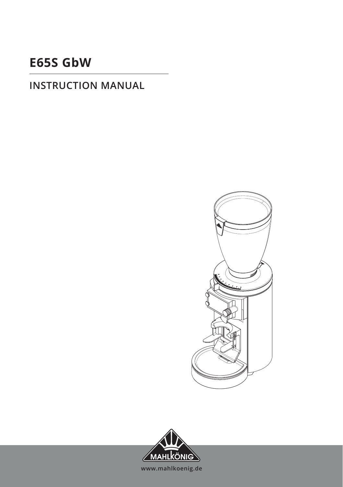# **E65S GbW**

### **INSTRUCTION MANUAL**



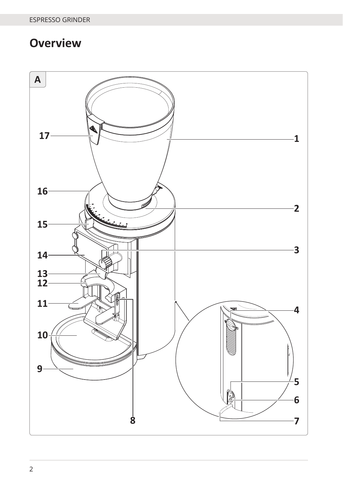# **Overview**

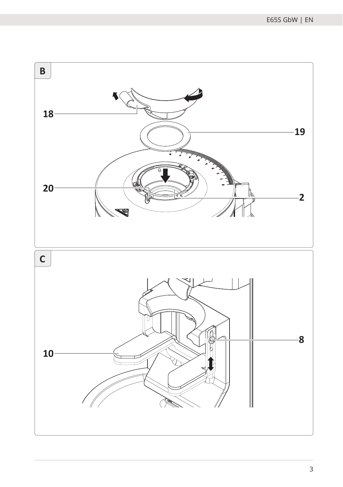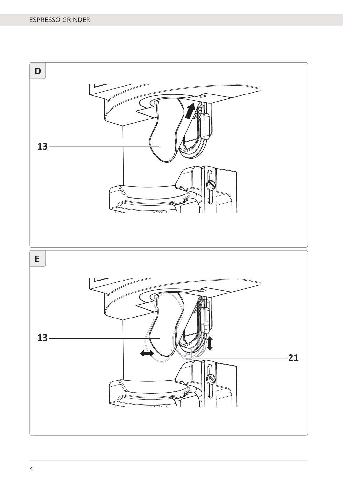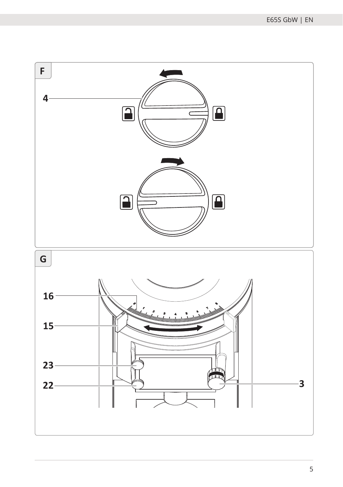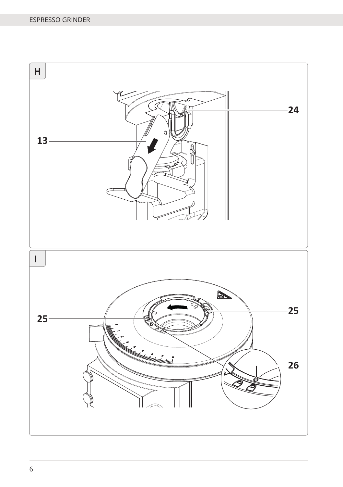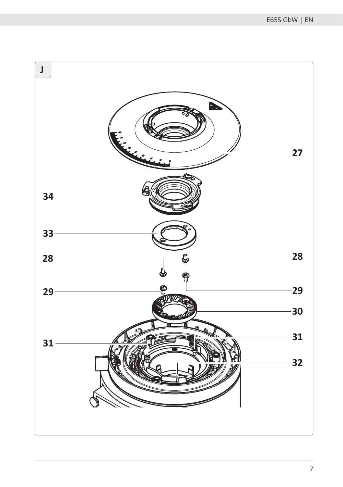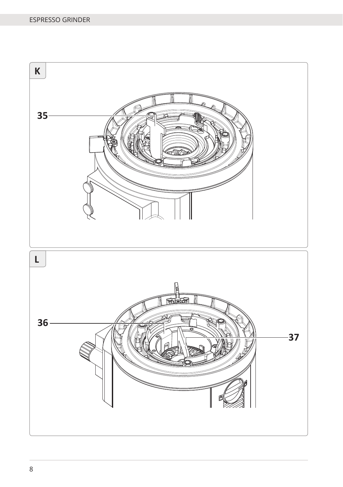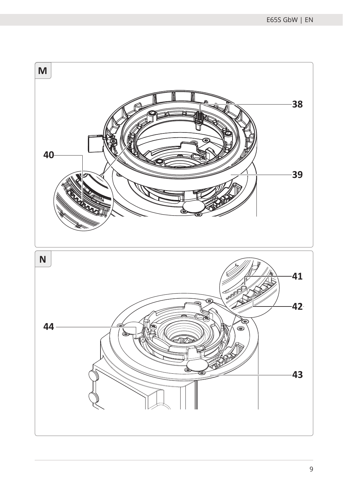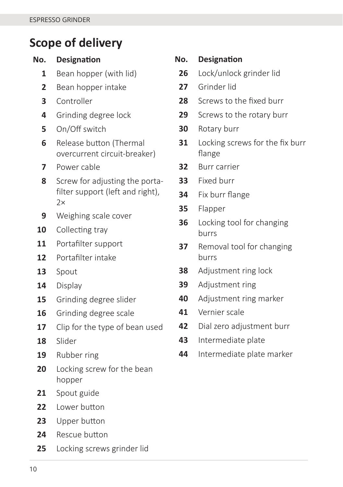### **Scope of delivery**

| No.            | <b>Designation</b>                                                 | Ν      |
|----------------|--------------------------------------------------------------------|--------|
| 1              | Bean hopper (with lid)                                             | 2      |
| $\overline{2}$ | Bean hopper intake                                                 | 2      |
| 3              | Controller                                                         | 2      |
| 4              | Grinding degree lock                                               | 2      |
| 5              | On/Off switch                                                      | ă      |
| 6              | Release button (Thermal<br>overcurrent circuit-breaker)            | ă      |
| 7              | Power cable                                                        | ă      |
| 8              | Screw for adjusting the porta-<br>filter support (left and right), | ă<br>ă |
|                | 2x                                                                 | ă      |
| 9              | Weighing scale cover                                               | ă      |
| 10             | Collecting tray                                                    |        |
| 11             | Portafilter support                                                | ă      |
| 12             | Portafilter intake                                                 |        |
| 13             | Spout                                                              | ă      |
| 14             | Display                                                            | ă      |
| 15             | Grinding degree slider                                             | L      |
| 16             | Grinding degree scale                                              | L      |
| 17             | Clip for the type of bean used                                     | L      |
| 18             | Slider                                                             | ۷      |
| 19             | Rubber ring                                                        | L      |
| 20             | Locking screw for the bean                                         |        |
| 21             | hopper                                                             |        |
| 22             | Spout guide<br>Lower button                                        |        |
|                |                                                                    |        |
| 23             | Upper button                                                       |        |
| 24             | Rescue button                                                      |        |

Locking screws grinder lid

### **No. DesignaƟ on** Lock/unlock grinder lid Grinder lid Screws to the fixed burr Screws to the rotary burr Rotary burr Locking screws for the fix burr flange Burr carrier Fixed burr Fix burr flange Flapper Locking tool for changing burrs Removal tool for changing burrs Adjustment ring lock Adjustment ring Adjustment ring marker Vernier scale Dial zero adjustment burr

- Intermediate plate
- Intermediate plate marker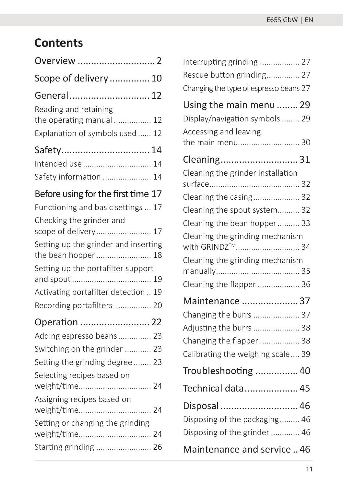# **Contents**

| Overview                                                                             |
|--------------------------------------------------------------------------------------|
| Scope of delivery  10                                                                |
| General 12                                                                           |
| Reading and retaining<br>the operating manual  12<br>Explanation of symbols used  12 |
| Safety 14                                                                            |
|                                                                                      |
| Intended use  14                                                                     |
| Safety information  14                                                               |
| Before using for the first time 17                                                   |
| Functioning and basic settings  17                                                   |
| Checking the grinder and                                                             |
| scope of delivery 17                                                                 |
| Setting up the grinder and inserting<br>the bean hopper  18                          |
|                                                                                      |
| Setting up the portafilter support                                                   |
| Activating portafilter detection  19                                                 |
| Recording portafilters  20                                                           |
|                                                                                      |
| Operation  22<br>Adding espresso beans 23                                            |
| Switching on the grinder  23                                                         |
| Setting the grinding degree  23                                                      |
|                                                                                      |
| Selecting recipes based on<br>weight/time 24                                         |
| Assigning recipes based on<br>weight/time 24                                         |
| Setting or changing the grinding                                                     |
| weight/time 24<br>Starting grinding  26                                              |

| Interrupting grinding  27                                      |  |
|----------------------------------------------------------------|--|
| Rescue button grinding 27                                      |  |
| Changing the type of espresso beans 27                         |  |
| Using the main menu  29                                        |  |
| Display/navigation symbols  29                                 |  |
| Accessing and leaving                                          |  |
| the main menu 30                                               |  |
| Cleaning31                                                     |  |
| Cleaning the grinder installation                              |  |
|                                                                |  |
| Cleaning the casing 32                                         |  |
| Cleaning the spout system 32                                   |  |
| Cleaning the bean hopper  33                                   |  |
| Cleaning the grinding mechanism<br>with GRINDZ <sup>™</sup> 34 |  |
| Cleaning the grinding mechanism                                |  |
| Cleaning the flapper  36                                       |  |
| Maintenance  37                                                |  |
| Changing the burrs  37                                         |  |
| Adjusting the burrs  38                                        |  |
| Changing the flapper  38                                       |  |
| Calibrating the weighing scale 39                              |  |
| Troubleshooting  40                                            |  |
| Technical data 45                                              |  |
| Disposal  46                                                   |  |
| Disposing of the packaging 46                                  |  |
| Disposing of the grinder  46                                   |  |
| Maintenance and service46                                      |  |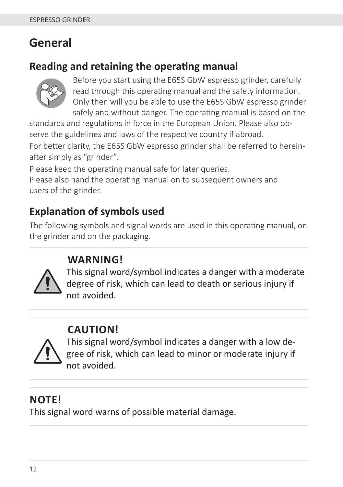### **General**

### **Reading and retaining the operating manual**



Before you start using the E65S GbW espresso grinder, carefully read through this operating manual and the safety information. Only then will you be able to use the E65S GbW espresso grinder safely and without danger. The operating manual is based on the

standards and regulations in force in the European Union. Please also observe the guidelines and laws of the respective country if abroad.

For better clarity, the E65S GbW espresso grinder shall be referred to hereinafter simply as "grinder".

Please keep the operating manual safe for later queries.

Please also hand the operating manual on to subsequent owners and users of the grinder.

### **Explanation of symbols used**

The following symbols and signal words are used in this operating manual, on the grinder and on the packaging.

### **WARNING!**



This signal word/symbol indicates a danger with a moderate degree of risk, which can lead to death or serious injury if not avoided.

### **CAUTION!**



This signal word/symbol indicates a danger with a low degree of risk, which can lead to minor or moderate injury if not avoided.

### **NOTE!**

This signal word warns of possible material damage.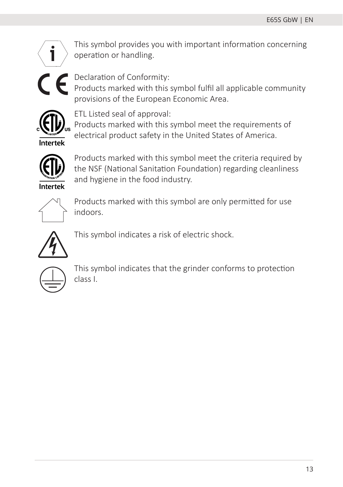

This symbol provides you with important information concerning operation or handling.



Declaration of Conformity:

Products marked with this symbol fulfil all applicable community provisions of the European Economic Area.



ETL Listed seal of approval:

Products marked with this symbol meet the requirements of electrical product safety in the United States of America.



Products marked with this symbol meet the criteria required by the NSF (National Sanitation Foundation) regarding cleanliness and hygiene in the food industry.



Products marked with this symbol are only permitted for use indoors.



This symbol indicates a risk of electric shock.



This symbol indicates that the grinder conforms to protection class I.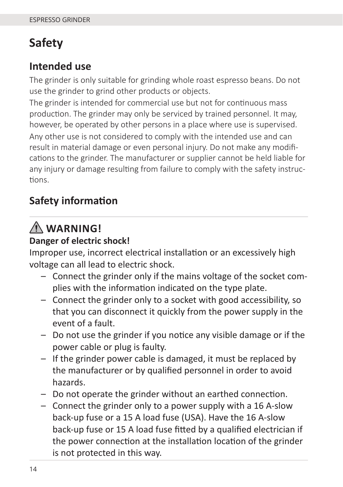# **Safety**

### **Intended use**

The grinder is only suitable for grinding whole roast espresso beans. Do not use the grinder to grind other products or objects.

The grinder is intended for commercial use but not for continuous mass production. The grinder may only be serviced by trained personnel. It may, however, be operated by other persons in a place where use is supervised. Any other use is not considered to comply with the intended use and can result in material damage or even personal injury. Do not make any modifications to the grinder. The manufacturer or supplier cannot be held liable for any injury or damage resulting from failure to comply with the safety instructions.

### **Safety information**

# **WARNING!**

#### **Danger of electric shock!**

Improper use, incorrect electrical installation or an excessively high voltage can all lead to electric shock.

- Connect the grinder only if the mains voltage of the socket complies with the information indicated on the type plate.
- Connect the grinder only to a socket with good accessibility, so that you can disconnect it quickly from the power supply in the event of a fault.
- $-$  Do not use the grinder if you notice any visible damage or if the power cable or plug is faulty.
- If the grinder power cable is damaged, it must be replaced by the manufacturer or by qualified personnel in order to avoid hazards.
- $-$  Do not operate the grinder without an earthed connection.
- Connect the grinder only to a power supply with a 16 A-slow back-up fuse or a 15 A load fuse (USA). Have the 16 A-slow back-up fuse or 15 A load fuse fitted by a qualified electrician if the power connection at the installation location of the grinder is not protected in this way.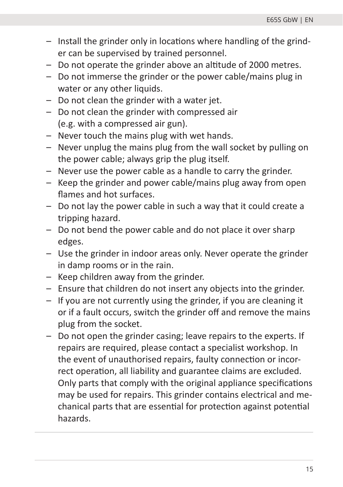- $-$  Install the grinder only in locations where handling of the grinder can be supervised by trained personnel.
- Do not operate the grinder above an altitude of 2000 metres.
- Do not immerse the grinder or the power cable/mains plug in water or any other liquids.
- Do not clean the grinder with a water jet.
- Do not clean the grinder with compressed air (e.g. with a compressed air gun).
- Never touch the mains plug with wet hands.
- Never unplug the mains plug from the wall socket by pulling on the power cable; always grip the plug itself.
- Never use the power cable as a handle to carry the grinder.
- Keep the grinder and power cable/mains plug away from open flames and hot surfaces.
- Do not lay the power cable in such a way that it could create a tripping hazard.
- Do not bend the power cable and do not place it over sharp edges.
- Use the grinder in indoor areas only. Never operate the grinder in damp rooms or in the rain.
- Keep children away from the grinder.
- Ensure that children do not insert any objects into the grinder.
- If you are not currently using the grinder, if you are cleaning it or if a fault occurs, switch the grinder off and remove the mains plug from the socket.
- Do not open the grinder casing; leave repairs to the experts. If repairs are required, please contact a specialist workshop. In the event of unauthorised repairs, faulty connection or incorrect operation, all liability and guarantee claims are excluded. Only parts that comply with the original appliance specifications may be used for repairs. This grinder contains electrical and mechanical parts that are essential for protection against potential hazards.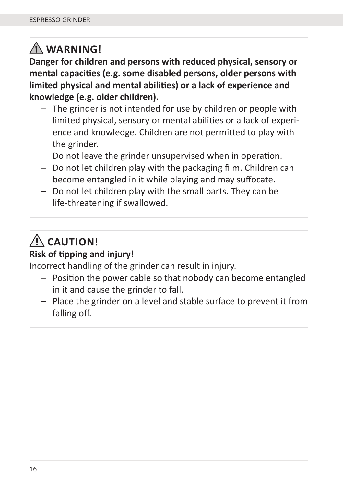# **WARNING!**

**Danger for children and persons with reduced physical, sensory or**  mental capacities (e.g. some disabled persons, older persons with limited physical and mental abilities) or a lack of experience and **knowledge (e.g. older children).**

- The grinder is not intended for use by children or people with limited physical, sensory or mental abilities or a lack of experience and knowledge. Children are not permitted to play with the grinder.
- $-$  Do not leave the grinder unsupervised when in operation.
- $-$  Do not let children play with the packaging film. Children can become entangled in it while playing and may suffocate.
- Do not let children play with the small parts. They can be life-threatening if swallowed.

# $\Lambda$  CAUTION!

#### **Risk of tipping and injury!**

Incorrect handling of the grinder can result in injury.

- $-$  Position the power cable so that nobody can become entangled in it and cause the grinder to fall.
- Place the grinder on a level and stable surface to prevent it from falling off.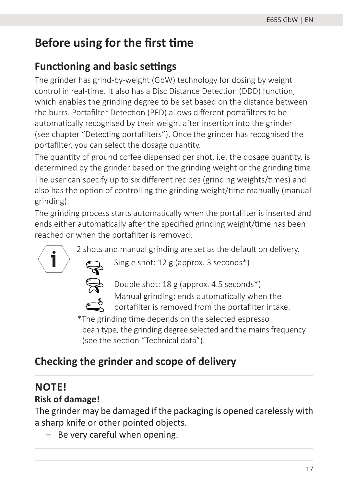## **Before using for the first time**

### **Functioning and basic settings**

The grinder has grind-by-weight (GbW) technology for dosing by weight control in real-time. It also has a Disc Distance Detection (DDD) function, which enables the grinding degree to be set based on the distance between the burrs. Portafilter Detection (PFD) allows different portafilters to be automatically recognised by their weight after insertion into the grinder (see chapter "Detecting portafilters"). Once the grinder has recognised the portafilter, you can select the dosage quantity.

The quantity of ground coffee dispensed per shot, i.e. the dosage quantity, is determined by the grinder based on the grinding weight or the grinding time.

The user can specify up to six different recipes (grinding weights/times) and also has the option of controlling the grinding weight/time manually (manual grinding).

The grinding process starts automatically when the portafilter is inserted and ends either automatically after the specified grinding weight/time has been reached or when the portafilter is removed.

2 shots and manual grinding are set as the default on delivery.



Single shot: 12 g (approx. 3 seconds\*)



Double shot: 18 g (approx. 4.5 seconds\*) Manual grinding: ends automatically when the

portafilter is removed from the portafilter intake.

\*The grinding time depends on the selected espresso bean type, the grinding degree selected and the mains frequency (see the section "Technical data").

### **Checking the grinder and scope of delivery**

# **NOTE!**

#### **Risk of damage!**

The grinder may be damaged if the packaging is opened carelessly with a sharp knife or other pointed objects.

– Be very careful when opening.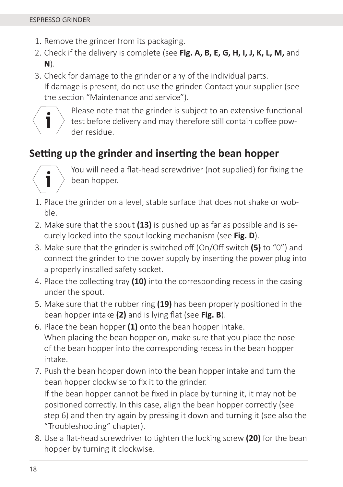- 1. Remove the grinder from its packaging.
- 2. Check if the delivery is complete (see **Fig. A, B, E, G, H, I, J, K, L, M,** and **N**).
- 3. Check for damage to the grinder or any of the individual parts. If damage is present, do not use the grinder. Contact your supplier (see the section "Maintenance and service").



Please note that the grinder is subject to an extensive functional test before delivery and may therefore still contain coffee powder residue.

### **Setting up the grinder and inserting the bean hopper**



You will need a flat-head screwdriver (not supplied) for fixing the bean hopper.

- 1. Place the grinder on a level, stable surface that does not shake or wobble.
- 2. Make sure that the spout **(13)** is pushed up as far as possible and is securely locked into the spout locking mechanism (see **Fig. D**).
- 3. Make sure that the grinder is switched off (On/Off switch **(5)** to "0") and connect the grinder to the power supply by inserting the power plug into a properly installed safety socket.
- 4. Place the collecting tray **(10)** into the corresponding recess in the casing under the spout.
- 5. Make sure that the rubber ring **(19)** has been properly positioned in the bean hopper intake (2) and is lying flat (see Fig. B).
- 6. Place the bean hopper **(1)** onto the bean hopper intake. When placing the bean hopper on, make sure that you place the nose of the bean hopper into the corresponding recess in the bean hopper intake.
- 7. Push the bean hopper down into the bean hopper intake and turn the bean hopper clockwise to fix it to the grinder.

If the bean hopper cannot be fixed in place by turning it, it may not be positioned correctly. In this case, align the bean hopper correctly (see step 6) and then try again by pressing it down and turning it (see also the "Troubleshooting" chapter).

8. Use a flat-head screwdriver to tighten the locking screw (20) for the bean hopper by turning it clockwise.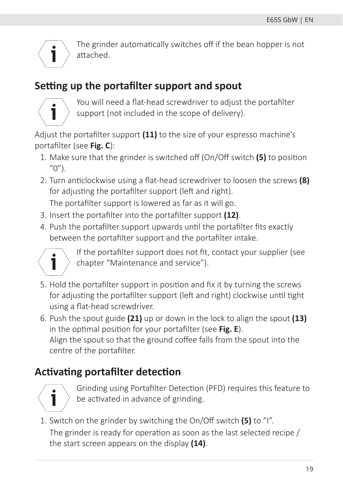$\mathbf i$ 

The grinder automatically switches off if the bean hopper is not attached.

### **Seƫ ng up the portafi lter support and spout**



You will need a flat-head screwdriver to adjust the portafilter support (not included in the scope of delivery).

Adjust the portafilter support **(11)** to the size of your espresso machine's portafilter (see Fig. C):

- 1. Make sure that the grinder is switched off (On/Off switch **(5)** to position  $(0'')$ .
- 2. Turn anticlockwise using a flat-head screwdriver to loosen the screws (8) for adjusting the portafilter support (left and right).

The portafilter support is lowered as far as it will go.

- 3. Insert the portafilter into the portafilter support (12).
- 4. Push the portafilter support upwards until the portafilter fits exactly between the portafilter support and the portafilter intake.



If the portafilter support does not fit, contact your supplier (see chapter "Maintenance and service").

- 5. Hold the portafilter support in position and fix it by turning the screws for adjusting the portafilter support (left and right) clockwise until tight using a flat-head screwdriver.
- 6. Push the spout guide **(21)** up or down in the lock to align the spout **(13)** in the optimal position for your portafilter (see **Fig. E**). Align the spout so that the ground coffee falls from the spout into the centre of the portafilter.

### **Activating portafilter detection**



Grinding using Portafilter Detection (PFD) requires this feature to be activated in advance of grinding.

1. Switch on the grinder by switching the On/Off switch **(5)** to "I".

The grinder is ready for operation as soon as the last selected recipe / the start screen appears on the display **(14)**.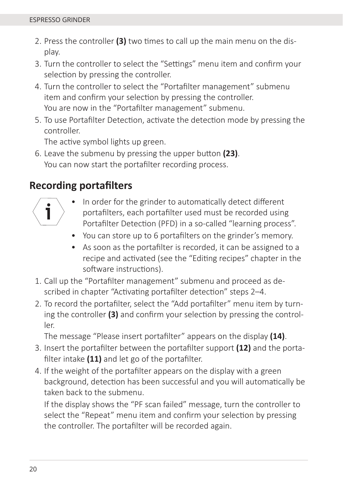- 2. Press the controller (3) two times to call up the main menu on the display.
- 3. Turn the controller to select the "Settings" menu item and confirm your selection by pressing the controller.
- 4. Turn the controller to select the "Portafilter management" submenu item and confirm your selection by pressing the controller. You are now in the "Portafilter management" submenu.
- 5. To use Portafilter Detection, activate the detection mode by pressing the controller.

The active symbol lights up green.

6. Leave the submenu by pressing the upper button (23). You can now start the portafilter recording process.

### **Recording portafi lters**



- In order for the grinder to automatically detect different portafilters, each portafilter used must be recorded using Portafilter Detection (PFD) in a so-called "learning process".
- You can store up to 6 portafilters on the grinder's memory.
- As soon as the portafilter is recorded, it can be assigned to a recipe and activated (see the "Editing recipes" chapter in the software instructions).
- 1. Call up the "Portafilter management" submenu and proceed as described in chapter "Activating portafilter detection" steps 2-4.
- 2. To record the portafilter, select the "Add portafilter" menu item by turning the controller **(3)** and confirm your selection by pressing the controller.

The message "Please insert portafilter" appears on the display (14).

- 3. Insert the portafilter between the portafilter support (12) and the portafilter intake (11) and let go of the portafilter.
- 4. If the weight of the portafilter appears on the display with a green background, detection has been successful and you will automatically be taken back to the submenu.

If the display shows the "PF scan failed" message, turn the controller to select the "Repeat" menu item and confirm your selection by pressing the controller. The portafilter will be recorded again.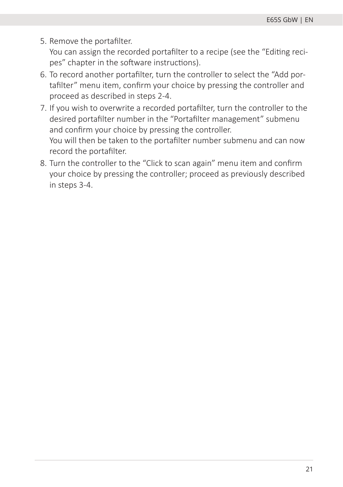5. Remove the portafilter.

You can assign the recorded portafilter to a recipe (see the "Editing recipes" chapter in the software instructions).

- 6. To record another portafilter, turn the controller to select the "Add portafilter" menu item, confirm your choice by pressing the controller and proceed as described in steps 2-4.
- 7. If you wish to overwrite a recorded portafilter, turn the controller to the desired portafilter number in the "Portafilter management" submenu and confirm your choice by pressing the controller. You will then be taken to the portafilter number submenu and can now record the portafilter.
- 8. Turn the controller to the "Click to scan again" menu item and confirm your choice by pressing the controller; proceed as previously described in steps 3-4.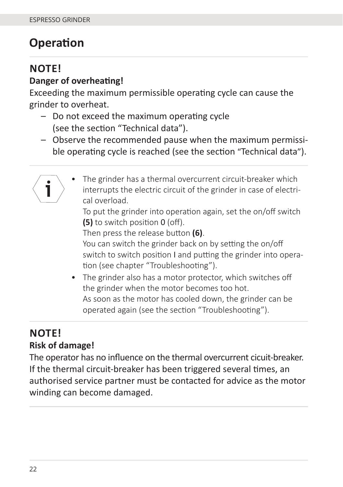# **Operation**

### **NOTE!**

#### **Danger of overheating!**

Exceeding the maximum permissible operating cycle can cause the grinder to overheat.

- $-$  Do not exceed the maximum operating cycle (see the section "Technical data").
- Observe the recommended pause when the maximum permissible operating cycle is reached (see the section "Technical data").
	- The grinder has a thermal overcurrent circuit-breaker which ٦ interrupts the electric circuit of the grinder in case of electrical overload.

To put the grinder into operation again, set the on/off switch **(5)** to switch position 0 (off).

Then press the release button (6).

You can switch the grinder back on by setting the on/off switch to switch position I and putting the grinder into operation (see chapter "Troubleshooting").

• The grinder also has a motor protector, which switches off the grinder when the motor becomes too hot. As soon as the motor has cooled down, the grinder can be operated again (see the section "Troubleshooting").

### **NOTE! Risk of damage!**

The operator has no influence on the thermal overcurrent cicuit-breaker. If the thermal circuit-breaker has been triggered several times, an authorised service partner must be contacted for advice as the motor winding can become damaged.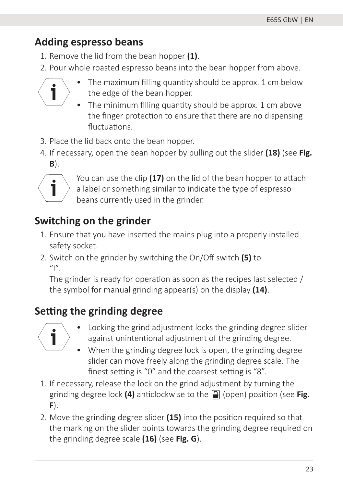### **Adding espresso beans**

- 1. Remove the lid from the bean hopper **(1)**.
- 2. Pour whole roasted espresso beans into the bean hopper from above.



- The maximum filling quantity should be approx. 1 cm below the edge of the bean hopper.
- The minimum filling quantity should be approx.  $1 \text{ cm}$  above the finger protection to ensure that there are no dispensing fluctuations
- 3. Place the lid back onto the bean hopper.
- 4. If necessary, open the bean hopper by pulling out the slider **(18)** (see **Fig. B**).



You can use the clip (17) on the lid of the bean hopper to attach a label or something similar to indicate the type of espresso beans currently used in the grinder.

## **Switching on the grinder**

- 1. Ensure that you have inserted the mains plug into a properly installed safety socket.
- 2. Switch on the grinder by switching the On/Off switch **(5)** to  $^{\prime\prime}$

The grinder is ready for operation as soon as the recipes last selected / the symbol for manual grinding appear(s) on the display **(14)**.

# **Setting the grinding degree**



- Locking the grind adjustment locks the grinding degree slider against unintentional adjustment of the grinding degree.
- When the grinding degree lock is open, the grinding degree slider can move freely along the grinding degree scale. The finest setting is "0" and the coarsest setting is "8".
- 1. If necessary, release the lock on the grind adjustment by turning the grinding degree lock (4) anticlockwise to the **[2]** (open) position (see **Fig. F**).
- 2. Move the grinding degree slider **(15)** into the position required so that the marking on the slider points towards the grinding degree required on the grinding degree scale **(16)** (see **Fig. G**).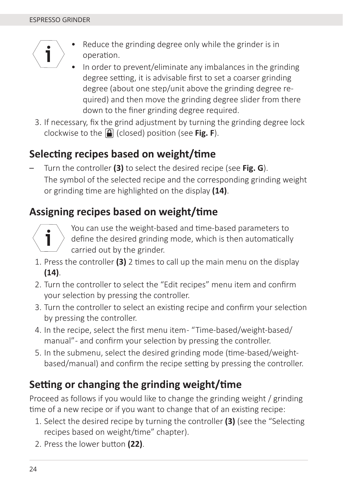

- Reduce the grinding degree only while the grinder is in operation.
- In order to prevent/eliminate any imbalances in the grinding degree setting, it is advisable first to set a coarser grinding degree (about one step/unit above the grinding degree required) and then move the grinding degree slider from there down to the finer grinding degree required.
- 3. If necessary, fix the grind adjustment by turning the grinding degree lock clockwise to the **[4]** (closed) position (see **Fig. F**).

### **SelecƟ ng recipes based on weight/Ɵ me**

– Turn the controller **(3)** to select the desired recipe (see **Fig. G**). The symbol of the selected recipe and the corresponding grinding weight or grinding time are highlighted on the display (14).

### **Assigning recipes based on weight/time**



You can use the weight-based and time-based parameters to define the desired grinding mode, which is then automatically carried out by the grinder.

- 1. Press the controller **(3)** 2 Ɵ mes to call up the main menu on the display **(14)**.
- 2. Turn the controller to select the "Edit recipes" menu item and confirm your selection by pressing the controller.
- 3. Turn the controller to select an existing recipe and confirm your selection by pressing the controller.
- 4. In the recipe, select the first menu item "Time-based/weight-based/ manual" - and confirm your selection by pressing the controller.
- 5. In the submenu, select the desired grinding mode (time-based/weightbased/manual) and confirm the recipe setting by pressing the controller.

### **Setting or changing the grinding weight/time**

Proceed as follows if you would like to change the grinding weight / grinding time of a new recipe or if you want to change that of an existing recipe:

- 1. Select the desired recipe by turning the controller (3) (see the "Selecting recipes based on weight/time" chapter).
- 2. Press the lower button (22).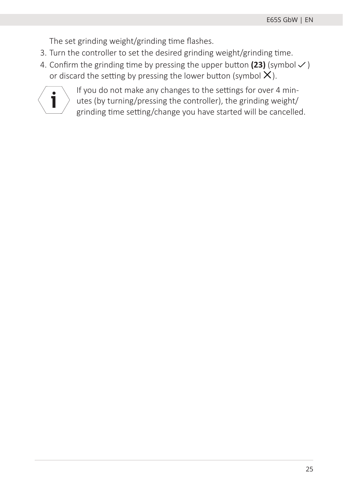The set grinding weight/grinding time flashes.

- 3. Turn the controller to set the desired grinding weight/grinding time.
- 4. Confirm the grinding time by pressing the upper button  $(23)$  (symbol  $\vee$ ) or discard the setting by pressing the lower button (symbol  $X$ ).



If you do not make any changes to the settings for over 4 minutes (by turning/pressing the controller), the grinding weight/ grinding time setting/change you have started will be cancelled.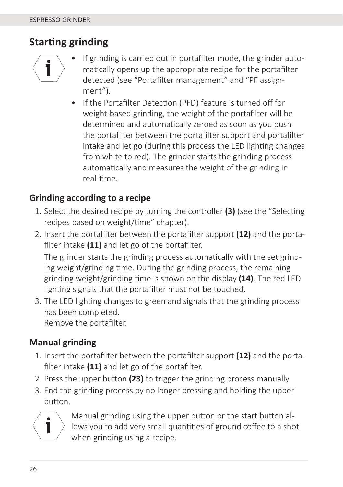### **StarƟ ng grinding**



- If grinding is carried out in portafilter mode, the grinder automatically opens up the appropriate recipe for the portafilter detected (see "Portafilter management" and "PF assignment").
- If the Portafilter Detection (PFD) feature is turned off for weight-based grinding, the weight of the portafilter will be determined and automatically zeroed as soon as you push the portafilter between the portafilter support and portafilter intake and let go (during this process the LED lighting changes from white to red). The grinder starts the grinding process automatically and measures the weight of the grinding in real-time.

#### **Grinding according to a recipe**

- 1. Select the desired recipe by turning the controller **(3)** (see the "Selecting recipes based on weight/time" chapter).
- 2. Insert the portafilter between the portafilter support **(12)** and the portafilter intake (11) and let go of the portafilter.

The grinder starts the grinding process automatically with the set grinding weight/grinding time. During the grinding process, the remaining grinding weight/grinding time is shown on the display **(14)**. The red LED lighting signals that the portafilter must not be touched.

3. The LED lighting changes to green and signals that the grinding process has been completed. Remove the portafilter.

#### **Manual grinding**

- 1. Insert the portafilter between the portafilter support (12) and the portafilter intake (11) and let go of the portafilter.
- 2. Press the upper button (23) to trigger the grinding process manually.
- 3. End the grinding process by no longer pressing and holding the upper button.



Manual grinding using the upper button or the start button allows you to add very small quantities of ground coffee to a shot when grinding using a recipe.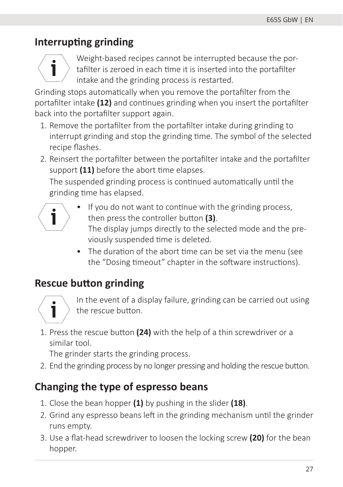### **Interrupting grinding**



Weight-based recipes cannot be interrupted because the portafilter is zeroed in each time it is inserted into the portafilter intake and the grinding process is restarted.

Grinding stops automatically when you remove the portafilter from the portafilter intake (12) and continues grinding when you insert the portafilter back into the portafilter support again.

- 1. Remove the portafilter from the portafilter intake during grinding to interrupt grinding and stop the grinding time. The symbol of the selected recipe flashes.
- 2. Reinsert the portafilter between the portafilter intake and the portafilter support (11) before the abort time elapses.

The suspended grinding process is continued automatically until the grinding time has elapsed.



- If you do not want to continue with the grinding process, then press the controller button (3). The display jumps directly to the selected mode and the previously suspended time is deleted.
- The duration of the abort time can be set via the menu (see the "Dosing timeout" chapter in the software instructions).

### **Rescue button grinding**



In the event of a display failure, grinding can be carried out using the rescue button.

1. Press the rescue button (24) with the help of a thin screwdriver or a similar tool.

The grinder starts the grinding process.

2. End the grinding process by no longer pressing and holding the rescue button.

### **Changing the type of espresso beans**

- 1. Close the bean hopper **(1)** by pushing in the slider **(18)**.
- 2. Grind any espresso beans left in the grinding mechanism until the grinder runs empty.
- 3. Use a flat-head screwdriver to loosen the locking screw (20) for the bean hopper.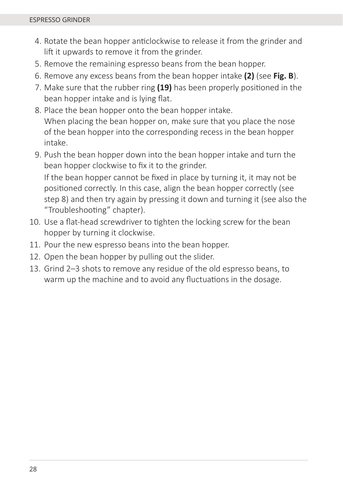- 4. Rotate the bean hopper anticlockwise to release it from the grinder and lift it upwards to remove it from the grinder.
- 5. Remove the remaining espresso beans from the bean hopper.
- 6. Remove any excess beans from the bean hopper intake **(2)** (see **Fig. B**).
- 7. Make sure that the rubber ring **(19)** has been properly positioned in the bean hopper intake and is lying flat.
- 8. Place the bean hopper onto the bean hopper intake. When placing the bean hopper on, make sure that you place the nose of the bean hopper into the corresponding recess in the bean hopper intake.
- 9. Push the bean hopper down into the bean hopper intake and turn the bean hopper clockwise to fix it to the grinder. If the bean hopper cannot be fixed in place by turning it, it may not be positioned correctly. In this case, align the bean hopper correctly (see step 8) and then try again by pressing it down and turning it (see also the "Troubleshooting" chapter).
- 10. Use a flat-head screwdriver to tighten the locking screw for the bean hopper by turning it clockwise.
- 11. Pour the new espresso beans into the bean hopper.
- 12. Open the bean hopper by pulling out the slider.
- 13. Grind 2–3 shots to remove any residue of the old espresso beans, to warm up the machine and to avoid any fluctuations in the dosage.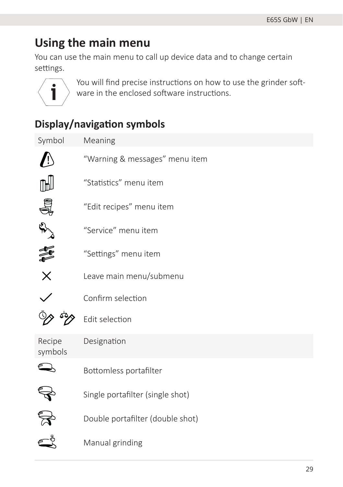## **Using the main menu**

You can use the main menu to call up device data and to change certain settings.



You will find precise instructions on how to use the grinder software in the enclosed software instructions.

### **Display/navigation symbols**

| Symbol            | Meaning                          |
|-------------------|----------------------------------|
|                   | "Warning & messages" menu item   |
|                   | "Statistics" menu item           |
|                   | "Edit recipes" menu item         |
| A.                | "Service" menu item              |
| 重                 | "Settings" menu item             |
| $\times$          | Leave main menu/submenu          |
|                   | Confirm selection                |
|                   | Edit selection                   |
| Recipe<br>symbols | Designation                      |
|                   | Bottomless portafilter           |
|                   | Single portafilter (single shot) |
|                   | Double portafilter (double shot) |
|                   | Manual grinding                  |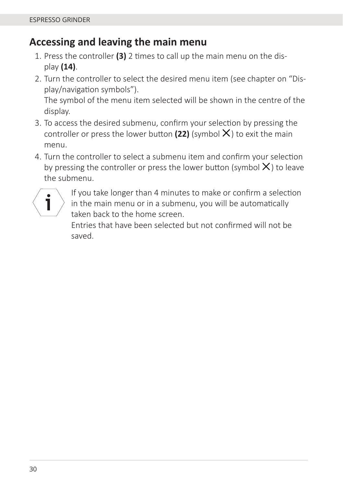#### **Accessing and leaving the main menu**

- 1. Press the controller (3) 2 times to call up the main menu on the display **(14)**.
- 2. Turn the controller to select the desired menu item (see chapter on "Display/navigation symbols").

The symbol of the menu item selected will be shown in the centre of the display.

- 3. To access the desired submenu, confirm your selection by pressing the controller or press the lower button (22) (symbol  $X$ ) to exit the main menu.
- 4. Turn the controller to select a submenu item and confirm your selection by pressing the controller or press the lower button (symbol  $X$ ) to leave the submenu.



If you take longer than 4 minutes to make or confirm a selection in the main menu or in a submenu, you will be automatically taken back to the home screen.

Entries that have been selected but not confirmed will not be saved.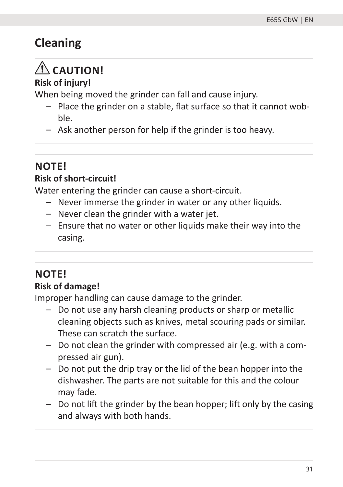# **Cleaning**

# **CAUTION!**

#### **Risk of injury!**

When being moved the grinder can fall and cause injury.

- Place the grinder on a stable, flat surface so that it cannot wobble.
- Ask another person for help if the grinder is too heavy.

# **NOTE!**

#### **Risk of short-circuit!**

Water entering the grinder can cause a short-circuit.

- Never immerse the grinder in water or any other liquids.
- Never clean the grinder with a water jet.
- Ensure that no water or other liquids make their way into the casing.

### **NOTE!**

#### **Risk of damage!**

Improper handling can cause damage to the grinder.

- Do not use any harsh cleaning products or sharp or metallic cleaning objects such as knives, metal scouring pads or similar. These can scratch the surface.
- Do not clean the grinder with compressed air (e.g. with a compressed air gun).
- Do not put the drip tray or the lid of the bean hopper into the dishwasher. The parts are not suitable for this and the colour may fade.
- $-$  Do not lift the grinder by the bean hopper; lift only by the casing and always with both hands.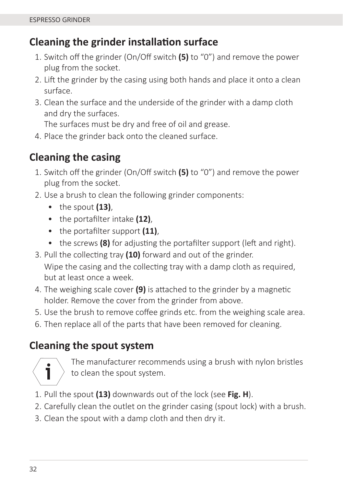### **Cleaning the grinder installation surface**

- 1. Switch off the grinder (On/Off switch **(5)** to "0") and remove the power plug from the socket.
- 2. Lift the grinder by the casing using both hands and place it onto a clean surface.
- 3. Clean the surface and the underside of the grinder with a damp cloth and dry the surfaces.

The surfaces must be dry and free of oil and grease.

4. Place the grinder back onto the cleaned surface.

### **Cleaning the casing**

- 1. Switch off the grinder (On/Off switch **(5)** to "0") and remove the power plug from the socket.
- 2. Use a brush to clean the following grinder components:
	- the spout **(13)**,
	- the portafilter intake (12),
	- the portafilter support (11),
	- the screws (8) for adjusting the portafilter support (left and right).
- 3. Pull the collecting tray (10) forward and out of the grinder.

Wipe the casing and the collecting tray with a damp cloth as required, but at least once a week.

- 4. The weighing scale cover **(9)** is attached to the grinder by a magnetic holder. Remove the cover from the grinder from above.
- 5. Use the brush to remove coffee grinds etc. from the weighing scale area.
- 6. Then replace all of the parts that have been removed for cleaning.

### **Cleaning the spout system**



The manufacturer recommends using a brush with nylon bristles to clean the spout system.

- 1. Pull the spout **(13)** downwards out of the lock (see **Fig. H**).
- 2. Carefully clean the outlet on the grinder casing (spout lock) with a brush.
- 3. Clean the spout with a damp cloth and then dry it.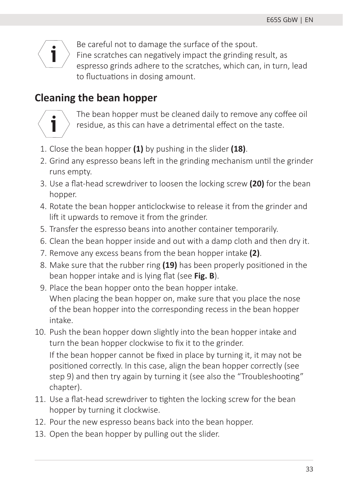

Be careful not to damage the surface of the spout. Fine scratches can negatively impact the grinding result, as espresso grinds adhere to the scratches, which can, in turn, lead to fluctuations in dosing amount.

### **Cleaning the bean hopper**



The bean hopper must be cleaned daily to remove any coffee oil residue, as this can have a detrimental effect on the taste.

- 1. Close the bean hopper **(1)** by pushing in the slider **(18)**.
- 2. Grind any espresso beans left in the grinding mechanism until the grinder runs empty.
- 3. Use a flat-head screwdriver to loosen the locking screw (20) for the bean hopper.
- 4. Rotate the bean hopper anticlockwise to release it from the grinder and lift it upwards to remove it from the grinder.
- 5. Transfer the espresso beans into another container temporarily.
- 6. Clean the bean hopper inside and out with a damp cloth and then dry it.
- 7. Remove any excess beans from the bean hopper intake **(2)**.
- 8. Make sure that the rubber ring **(19)** has been properly positioned in the bean hopper intake and is lying flat (see Fig. B).
- 9. Place the bean hopper onto the bean hopper intake. When placing the bean hopper on, make sure that you place the nose of the bean hopper into the corresponding recess in the bean hopper intake.
- 10. Push the bean hopper down slightly into the bean hopper intake and turn the bean hopper clockwise to fix it to the grinder. If the bean hopper cannot be fixed in place by turning it, it may not be positioned correctly. In this case, align the bean hopper correctly (see step 9) and then try again by turning it (see also the "Troubleshooting" chapter).
- 11. Use a flat-head screwdriver to tighten the locking screw for the bean hopper by turning it clockwise.
- 12. Pour the new espresso beans back into the bean hopper.
- 13. Open the bean hopper by pulling out the slider.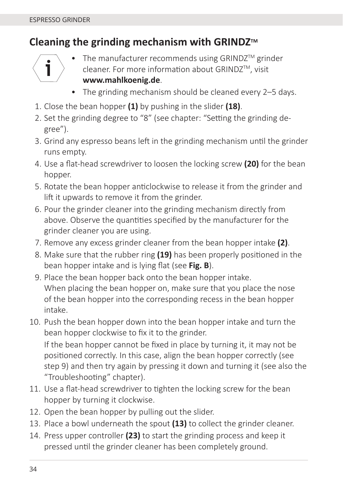### **Cleaning the grinding mechanism with GRINDZ**™



- The manufacturer recommends using GRINDZ<sup>TM</sup> grinder cleaner. For more information about GRINDZ™, visit **www.mahlkoenig.de**.
- The grinding mechanism should be cleaned every 2–5 days.
- 1. Close the bean hopper **(1)** by pushing in the slider **(18)**.
- 2. Set the grinding degree to "8" (see chapter: "Setting the grinding degree").
- 3. Grind any espresso beans left in the grinding mechanism until the grinder runs empty.
- 4. Use a flat-head screwdriver to loosen the locking screw (20) for the bean hopper.
- 5. Rotate the bean hopper anticlockwise to release it from the grinder and lift it upwards to remove it from the grinder.
- 6. Pour the grinder cleaner into the grinding mechanism directly from above. Observe the quantities specified by the manufacturer for the grinder cleaner you are using.
- 7. Remove any excess grinder cleaner from the bean hopper intake **(2)**.
- 8. Make sure that the rubber ring **(19)** has been properly positioned in the bean hopper intake and is lying flat (see Fig. B).
- 9. Place the bean hopper back onto the bean hopper intake. When placing the bean hopper on, make sure that you place the nose of the bean hopper into the corresponding recess in the bean hopper intake.
- 10. Push the bean hopper down into the bean hopper intake and turn the bean hopper clockwise to fix it to the grinder.

If the bean hopper cannot be fixed in place by turning it, it may not be positioned correctly. In this case, align the bean hopper correctly (see step 9) and then try again by pressing it down and turning it (see also the "Troubleshooting" chapter).

- 11. Use a flat-head screwdriver to tighten the locking screw for the bean hopper by turning it clockwise.
- 12. Open the bean hopper by pulling out the slider.
- 13. Place a bowl underneath the spout **(13)** to collect the grinder cleaner.
- 14. Press upper controller **(23)** to start the grinding process and keep it pressed until the grinder cleaner has been completely ground.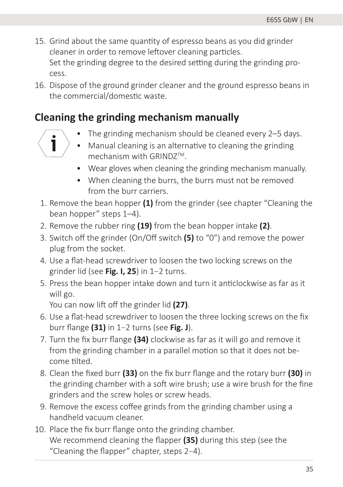- 15. Grind about the same quantity of espresso beans as you did grinder cleaner in order to remove leftover cleaning particles. Set the grinding degree to the desired setting during the grinding process.
- 16. Dispose of the ground grinder cleaner and the ground espresso beans in the commercial/domestic waste.

#### **Cleaning the grinding mechanism manually**

 $\mathbf i$ 

- The grinding mechanism should be cleaned every 2–5 days.
- Manual cleaning is an alternative to cleaning the grinding mechanism with GRIND7™.
- Wear gloves when cleaning the grinding mechanism manually.
- When cleaning the burrs, the burrs must not be removed from the burr carriers.
- 1. Remove the bean hopper **(1)** from the grinder (see chapter "Cleaning the bean hopper" steps 1–4).
- 2. Remove the rubber ring **(19)** from the bean hopper intake **(2)**.
- 3. Switch off the grinder (On/Off switch **(5)** to "0") and remove the power plug from the socket.
- 4. Use a flat-head screwdriver to loosen the two locking screws on the grinder lid (see **Fig. I, 25**) in 1–2 turns.
- 5. Press the bean hopper intake down and turn it anticlockwise as far as it will go.

You can now lift off the grinder lid (27).

- 6. Use a flat-head screwdriver to loosen the three locking screws on the fix burr fl ange **(31)** in 1–2 turns (see **Fig. J**).
- 7. Turn the fix burr flange (34) clockwise as far as it will go and remove it from the grinding chamber in a parallel motion so that it does not become tilted.
- 8. Clean the fixed burr **(33)** on the fix burr flange and the rotary burr **(30)** in the grinding chamber with a soft wire brush; use a wire brush for the fine grinders and the screw holes or screw heads.
- 9. Remove the excess coffee grinds from the grinding chamber using a handheld vacuum cleaner.
- 10. Place the fix burr flange onto the grinding chamber. We recommend cleaning the flapper **(35)** during this step (see the "Cleaning the flapper" chapter, steps 2-4).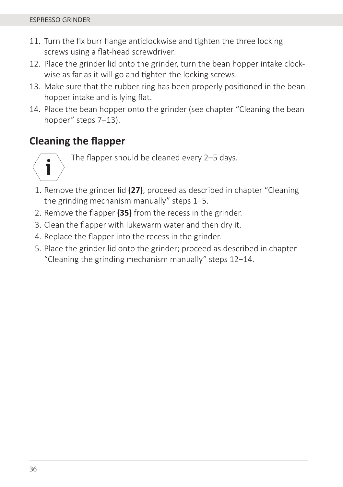- 11. Turn the fix burr flange anticlockwise and tighten the three locking screws using a flat-head screwdriver.
- 12. Place the grinder lid onto the grinder, turn the bean hopper intake clockwise as far as it will go and tighten the locking screws.
- 13. Make sure that the rubber ring has been properly positioned in the bean hopper intake and is lying flat.
- 14. Place the bean hopper onto the grinder (see chapter "Cleaning the bean hopper" steps 7-13).

### **Cleaning the fl apper**

ī

The flapper should be cleaned every 2-5 days.

- 1. Remove the grinder lid **(27)**, proceed as described in chapter "Cleaning the grinding mechanism manually" steps 1–5.
- 2. Remove the flapper (35) from the recess in the grinder.
- 3. Clean the flapper with lukewarm water and then dry it.
- 4. Replace the flapper into the recess in the grinder.
- 5. Place the grinder lid onto the grinder; proceed as described in chapter "Cleaning the grinding mechanism manually" steps 12–14.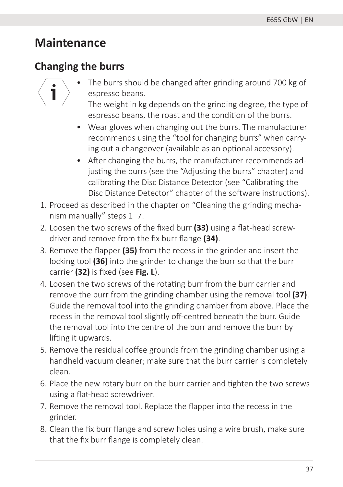### **Maintenance**

### **Changing the burrs**



The burrs should be changed after grinding around 700 kg of espresso beans.

The weight in kg depends on the grinding degree, the type of espresso beans, the roast and the condition of the burrs.

- Wear gloves when changing out the burrs. The manufacturer recommends using the "tool for changing burrs" when carrying out a changeover (available as an optional accessory).
- After changing the burrs, the manufacturer recommends adjusting the burrs (see the "Adjusting the burrs" chapter) and calibrating the Disc Distance Detector (see "Calibrating the Disc Distance Detector" chapter of the software instructions).
- 1. Proceed as described in the chapter on "Cleaning the grinding mechanism manually" steps 1–7.
- 2. Loosen the two screws of the fixed burr (33) using a flat-head screwdriver and remove from the fix burr flange (34).
- 3. Remove the flapper (35) from the recess in the grinder and insert the locking tool **(36)** into the grinder to change the burr so that the burr carrier (32) is fixed (see Fig. L).
- 4. Loosen the two screws of the rotating burr from the burr carrier and remove the burr from the grinding chamber using the removal tool **(37)**. Guide the removal tool into the grinding chamber from above. Place the recess in the removal tool slightly off-centred beneath the burr. Guide the removal tool into the centre of the burr and remove the burr by lifting it upwards.
- 5. Remove the residual coffee grounds from the grinding chamber using a handheld vacuum cleaner; make sure that the burr carrier is completely clean.
- 6. Place the new rotary burr on the burr carrier and tighten the two screws using a flat-head screwdriver.
- 7. Remove the removal tool. Replace the flapper into the recess in the grinder.
- 8. Clean the fix burr flange and screw holes using a wire brush, make sure that the fix burr flange is completely clean.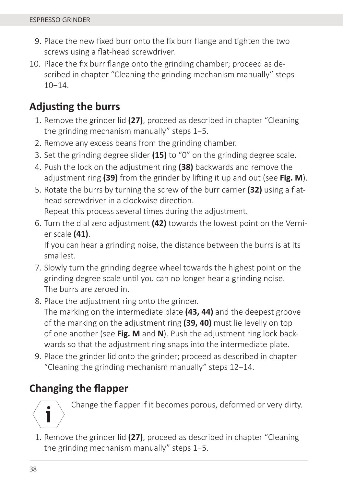- 9. Place the new fixed burr onto the fix burr flange and tighten the two screws using a flat-head screwdriver.
- 10. Place the fix burr flange onto the grinding chamber; proceed as described in chapter "Cleaning the grinding mechanism manually" steps  $10 - 14$

### **AdjusƟ ng the burrs**

- 1. Remove the grinder lid **(27)**, proceed as described in chapter "Cleaning the grinding mechanism manually" steps 1–5.
- 2. Remove any excess beans from the grinding chamber.
- 3. Set the grinding degree slider **(15)** to "0" on the grinding degree scale.
- 4. Push the lock on the adjustment ring **(38)** backwards and remove the adjustment ring (39) from the grinder by lifting it up and out (see Fig. M).
- 5. Rotate the burrs by turning the screw of the burr carrier **(32)** using a flathead screwdriver in a clockwise direction. Repeat this process several times during the adjustment.
- 6. Turn the dial zero adjustment **(42)** towards the lowest point on the Vernier scale **(41)**.

If you can hear a grinding noise, the distance between the burrs is at its smallest.

- 7. Slowly turn the grinding degree wheel towards the highest point on the grinding degree scale until you can no longer hear a grinding noise. The burrs are zeroed in.
- 8. Place the adjustment ring onto the grinder. The marking on the intermediate plate **(43, 44)** and the deepest groove of the marking on the adjustment ring **(39, 40)** must lie levelly on top of one another (see **Fig. M** and **N**). Push the adjustment ring lock backwards so that the adjustment ring snaps into the intermediate plate.
- 9. Place the grinder lid onto the grinder; proceed as described in chapter "Cleaning the grinding mechanism manually" steps 12–14.

### **Changing the fl apper**



Change the flapper if it becomes porous, deformed or very dirty.

1. Remove the grinder lid **(27)**, proceed as described in chapter "Cleaning the grinding mechanism manually" steps 1–5.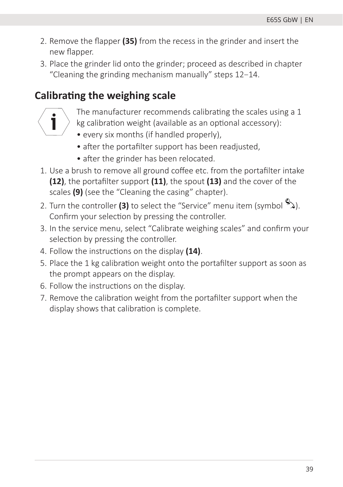- 2. Remove the flapper (35) from the recess in the grinder and insert the new flapper.
- 3. Place the grinder lid onto the grinder; proceed as described in chapter "Cleaning the grinding mechanism manually" steps 12–14.

### **Calibrating the weighing scale**



- The manufacturer recommends calibrating the scales using a 1
- kg calibration weight (available as an optional accessory):
	- every six months (if handled properly),
	- after the portafilter support has been readjusted,
	- after the grinder has been relocated.
- 1. Use a brush to remove all ground coffee etc. from the portafilter intake **(12)**, the portafilter support **(11)**, the spout **(13)** and the cover of the scales **(9)** (see the "Cleaning the casing" chapter).
- 2. Turn the controller **(3)** to select the "Service" menu item (symbol  $\mathbb{R}$ ). Confirm your selection by pressing the controller.
- 3. In the service menu, select "Calibrate weighing scales" and confirm your selection by pressing the controller.
- 4. Follow the instructions on the display **(14)**.
- 5. Place the 1 kg calibration weight onto the portafilter support as soon as the prompt appears on the display.
- 6. Follow the instructions on the display.
- 7. Remove the calibration weight from the portafilter support when the display shows that calibration is complete.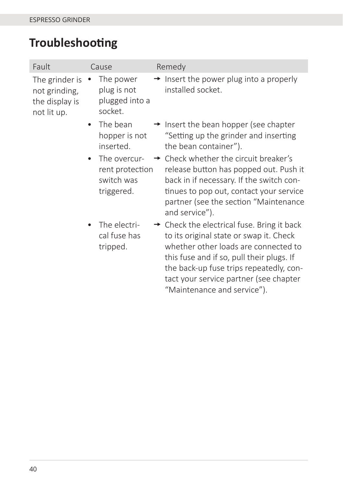# **Troubleshooting**

| Fault                                                            | Cause                                                                    | Remedy                                                                                                                                                                                                                                                                                                     |
|------------------------------------------------------------------|--------------------------------------------------------------------------|------------------------------------------------------------------------------------------------------------------------------------------------------------------------------------------------------------------------------------------------------------------------------------------------------------|
| The grinder is<br>not grinding,<br>the display is<br>not lit up. | The power<br>plug is not<br>plugged into a<br>socket.                    | $\rightarrow$ Insert the power plug into a properly<br>installed socket.                                                                                                                                                                                                                                   |
|                                                                  | The bean<br>$\bullet$<br>hopper is not<br>inserted.                      | $\rightarrow$ Insert the bean hopper (see chapter<br>"Setting up the grinder and inserting<br>the bean container").                                                                                                                                                                                        |
|                                                                  | The overcur-<br>$\bullet$<br>rent protection<br>switch was<br>triggered. | $\rightarrow$ Check whether the circuit breaker's<br>release button has popped out. Push it<br>back in if necessary. If the switch con-<br>tinues to pop out, contact your service<br>partner (see the section "Maintenance<br>and service").                                                              |
|                                                                  | The electri-<br>cal fuse has<br>tripped.                                 | $\rightarrow$ Check the electrical fuse. Bring it back<br>to its original state or swap it. Check<br>whether other loads are connected to<br>this fuse and if so, pull their plugs. If<br>the back-up fuse trips repeatedly, con-<br>tact your service partner (see chapter<br>"Maintenance and service"). |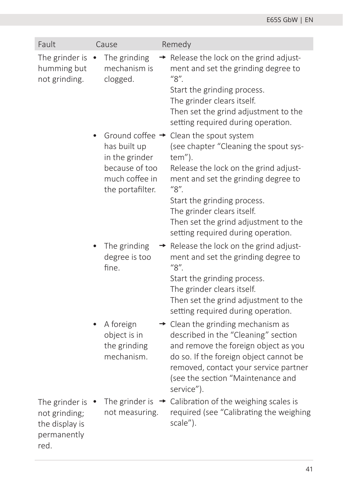| Fault                                                                    | Cause                                                                                                                 | Remedy                                                                                                                                                                                                                                                             |
|--------------------------------------------------------------------------|-----------------------------------------------------------------------------------------------------------------------|--------------------------------------------------------------------------------------------------------------------------------------------------------------------------------------------------------------------------------------------------------------------|
| The grinder is<br>humming but<br>not grinding.                           | The grinding<br>mechanism is<br>clogged.                                                                              | Release the lock on the grind adjust-<br>$\rightarrow$<br>ment and set the grinding degree to<br>"8".<br>Start the grinding process.<br>The grinder clears itself.<br>Then set the grind adjustment to the<br>setting required during operation.                   |
|                                                                          | Ground coffee $\rightarrow$<br>has built up<br>in the grinder<br>because of too<br>much coffee in<br>the portafilter. | Clean the spout system<br>(see chapter "Cleaning the spout sys-<br>tem").<br>Release the lock on the grind adjust-<br>ment and set the grinding degree to<br>"8".                                                                                                  |
|                                                                          |                                                                                                                       | Start the grinding process.<br>The grinder clears itself.<br>Then set the grind adjustment to the<br>setting required during operation.                                                                                                                            |
|                                                                          | The grinding<br>degree is too<br>fine.                                                                                | Release the lock on the grind adjust-<br>ment and set the grinding degree to<br>"8".<br>Start the grinding process.                                                                                                                                                |
|                                                                          |                                                                                                                       | The grinder clears itself.<br>Then set the grind adjustment to the<br>setting required during operation.                                                                                                                                                           |
|                                                                          | A foreign<br>object is in<br>the grinding<br>mechanism.                                                               | $\rightarrow$ Clean the grinding mechanism as<br>described in the "Cleaning" section<br>and remove the foreign object as you<br>do so. If the foreign object cannot be<br>removed, contact your service partner<br>(see the section "Maintenance and<br>service"). |
| The grinder is<br>not grinding;<br>the display is<br>permanently<br>red. | The grinder is<br>not measuring.                                                                                      | Calibration of the weighing scales is<br>$\rightarrow$<br>required (see "Calibrating the weighing<br>scale").                                                                                                                                                      |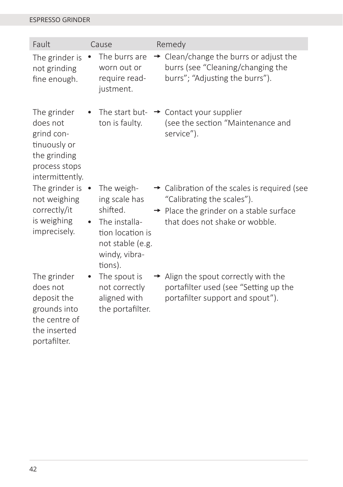#### ESPRESSO GRINDER

| Fault                                                                                                     | Cause                                                                                                                                     | Remedy                                                                                                                                                                          |
|-----------------------------------------------------------------------------------------------------------|-------------------------------------------------------------------------------------------------------------------------------------------|---------------------------------------------------------------------------------------------------------------------------------------------------------------------------------|
| The grinder is<br>not grinding<br>fine enough.                                                            | The burrs are<br>worn out or<br>require read-<br>justment.                                                                                | $\rightarrow$ Clean/change the burrs or adjust the<br>burrs (see "Cleaning/changing the<br>burrs"; "Adjusting the burrs").                                                      |
| The grinder<br>does not<br>grind con-<br>tinuously or<br>the grinding<br>process stops<br>intermittently. | ton is faulty.                                                                                                                            | The start but- $\rightarrow$ Contact your supplier<br>(see the section "Maintenance and<br>service").                                                                           |
| The grinder is<br>not weighing<br>correctly/it<br>is weighing<br>imprecisely.                             | The weigh-<br>$\bullet$<br>ing scale has<br>shifted.<br>The installa-<br>tion location is<br>not stable (e.g.<br>windy, vibra-<br>tions). | $\rightarrow$ Calibration of the scales is required (see<br>"Calibrating the scales").<br>$\rightarrow$ Place the grinder on a stable surface<br>that does not shake or wobble. |
| The grinder<br>does not<br>deposit the<br>grounds into<br>the centre of<br>the inserted<br>portafilter.   | The spout is<br>not correctly<br>aligned with<br>the portafilter.                                                                         | $\rightarrow$ Align the spout correctly with the<br>portafilter used (see "Setting up the<br>portafilter support and spout").                                                   |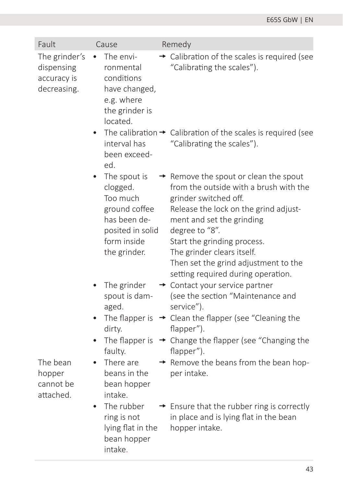| Fault                                                     | Cause                                                                                                                    | Remedy                                                                                                                                                                                                                                                                                                                                                  |
|-----------------------------------------------------------|--------------------------------------------------------------------------------------------------------------------------|---------------------------------------------------------------------------------------------------------------------------------------------------------------------------------------------------------------------------------------------------------------------------------------------------------------------------------------------------------|
| The grinder's<br>dispensing<br>accuracy is<br>decreasing. | The envi-<br>ronmental<br>conditions<br>have changed,<br>e.g. where<br>the grinder is<br>located.<br>interval has        | $\rightarrow$ Calibration of the scales is required (see<br>"Calibrating the scales").<br>The calibration $\rightarrow$ Calibration of the scales is required (see<br>"Calibrating the scales").                                                                                                                                                        |
|                                                           | been exceed-<br>ed.                                                                                                      |                                                                                                                                                                                                                                                                                                                                                         |
|                                                           | The spout is<br>clogged.<br>Too much<br>ground coffee<br>has been de-<br>posited in solid<br>form inside<br>the grinder. | $\rightarrow$ Remove the spout or clean the spout<br>from the outside with a brush with the<br>grinder switched off.<br>Release the lock on the grind adjust-<br>ment and set the grinding<br>degree to "8".<br>Start the grinding process.<br>The grinder clears itself.<br>Then set the grind adjustment to the<br>setting required during operation. |
|                                                           | The grinder<br>spout is dam-<br>aged.<br>The flapper is                                                                  | + Contact your service partner<br>(see the section "Maintenance and<br>service").<br>→ Clean the flapper (see "Cleaning the                                                                                                                                                                                                                             |
|                                                           | dirty.                                                                                                                   | flapper").                                                                                                                                                                                                                                                                                                                                              |
|                                                           | The flapper is<br>faulty.                                                                                                | → Change the flapper (see "Changing the<br>flapper").                                                                                                                                                                                                                                                                                                   |
| The bean<br>hopper<br>cannot be<br>attached.              | There are<br>$\bullet$<br>beans in the<br>bean hopper<br>intake.                                                         | $\rightarrow$ Remove the beans from the bean hop-<br>per intake.                                                                                                                                                                                                                                                                                        |
|                                                           | The rubber<br>$\bullet$<br>ring is not<br>lying flat in the<br>bean hopper<br>intake.                                    | $\rightarrow$ Ensure that the rubber ring is correctly<br>in place and is lying flat in the bean<br>hopper intake.                                                                                                                                                                                                                                      |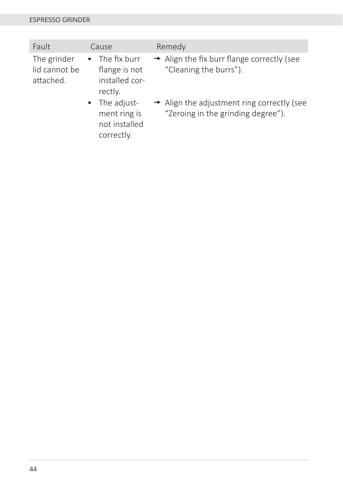| Fault                                     | Cause                                                                | Remedy                                                                                       |
|-------------------------------------------|----------------------------------------------------------------------|----------------------------------------------------------------------------------------------|
| The grinder<br>lid cannot be<br>attached. | $\bullet$ The fix burr<br>flange is not<br>installed cor-<br>rectly. | $\rightarrow$ Align the fix burr flange correctly (see<br>"Cleaning the burrs").             |
|                                           | • The adjust-<br>ment ring is<br>not installed<br>correctly.         | $\rightarrow$ Align the adjustment ring correctly (see<br>"Zeroing in the grinding degree"). |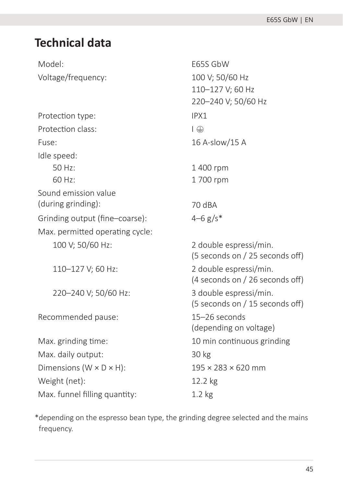### **Technical data**

Model: E65S GbW Voltage/frequency: 100 V; 50/60 Hz

Protection type: IPX1 Protection class:  $\Box$ Fuse: 16 A-slow/15 A Idle speed: 50 Hz: 60 Hz: Sound emission value (during grinding): 70 dBA Grinding output (fine–coarse):  $4-6$  g/s<sup>\*</sup> Max. permitted operating cycle: 100 V; 50/60 Hz: 2 double espressi/min.

Recommended pause: 15–26 seconds

Max. daily output: 30 kg Dimensions (W  $\times$  D  $\times$  H): 195  $\times$  283  $\times$  620 mm Weight (net): 12.2 kg Max. funnel filling quantity: 1.2 kg

110–127 V; 60 Hz 220–240 V; 50/60 Hz 1 400 rpm 1 700 rpm (5 seconds on / 25 seconds off ) 110–127 V; 60 Hz: 2 double espressi/min. (4 seconds on / 26 seconds off ) 220–240 V; 50/60 Hz: 3 double espressi/min. (5 seconds on / 15 seconds off ) (depending on voltage) Max. grinding time: 10 min continuous grinding

\*depending on the espresso bean type, the grinding degree selected and the mains frequency.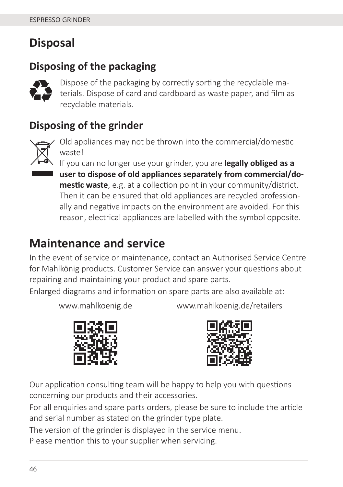## **Disposal**

### **Disposing of the packaging**



Dispose of the packaging by correctly sorting the recyclable materials. Dispose of card and cardboard as waste paper, and film as recyclable materials.

### **Disposing of the grinder**



Old appliances may not be thrown into the commercial/domestic waste!

If you can no longer use your grinder, you are **legally obliged as a user to dispose of old appliances separately from commercial/domestic waste**, e.g. at a collection point in your community/district. Then it can be ensured that old appliances are recycled professionally and negative impacts on the environment are avoided. For this reason, electrical appliances are labelled with the symbol opposite.

### **Maintenance and service**

In the event of service or maintenance, contact an Authorised Service Centre for Mahlkönig products. Customer Service can answer your questions about repairing and maintaining your product and spare parts.

Enlarged diagrams and information on spare parts are also available at:

www.mahlkoenig.de







Our application consulting team will be happy to help you with questions concerning our products and their accessories.

For all enquiries and spare parts orders, please be sure to include the article and serial number as stated on the grinder type plate.

The version of the grinder is displayed in the service menu.

Please mention this to your supplier when servicing.